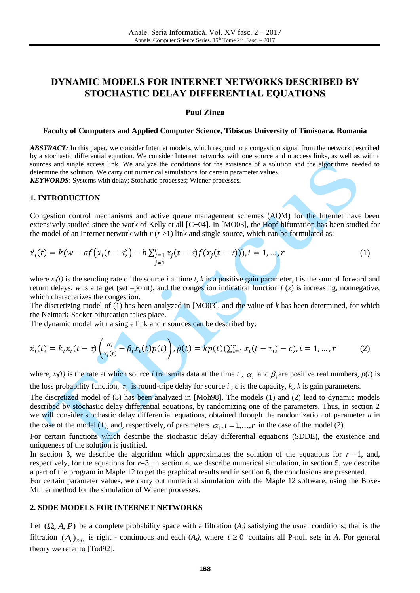# **DYNAMIC MODELS FOR INTERNET NETWORKS DESCRIBED BY STOCHASTIC DELAY DIFFERENTIAL EQUATIONS**

### **Paul Zinca**

#### **Faculty of Computers and Applied Computer Science, Tibiscus University of Timisoara, Romania**

*ABSTRACT:* In this paper, we consider Internet models, which respond to a congestion signal from the network described by a stochastic differential equation. We consider Internet networks with one source and n access links, as well as with r sources and single access link. We analyze the conditions for the existence of a solution and the algorithms needed to determine the solution. We carry out numerical simulations for certain parameter values.

*KEYWORDS*: Systems with delay; Stochatic processes; Wiener processes*.*

## **1. INTRODUCTION**

Congestion control mechanisms and active queue management schemes (AQM) for the Internet have been extensively studied since the work of Kelly et all [C+04]. In [MO03], the Hopf bifurcation has been studied for the model of an Internet network with  $r (r > 1)$  link and single source, which can be formulated as:

$$
\dot{x}_i(t) = k(w - af(x_i(t - \tau)) - b \sum_{\substack{j=1 \ j \neq 1}}^r x_j(t - \tau) f(x_j(t - \tau))), i = 1, ..., r
$$
\n(1)

where  $x_i(t)$  is the sending rate of the source *i* at time *t*, *k* is a positive gain parameter, t is the sum of forward and return delays, *w* is a target (set –point), and the congestion indication function  $f(x)$  is increasing, nonnegative, which characterizes the congestion.

The discretizing model of (1) has been analyzed in [MO03], and the value of *k* has been determined, for which the Neimark-Sacker bifurcation takes place.

The dynamic model with a single link and *r* sources can be described by:

 $\blacktriangle$ 

$$
\dot{x}_i(t) = k_i x_i(t - \tau) \left( \frac{\alpha_i}{x_i(t)} - \beta_i x_i(t) p(t) \right), \dot{p}(t) = k p(t) (\sum_{i=1}^r x_i(t - \tau_i) - c), i = 1, ..., r \tag{2}
$$

where,  $x_i(t)$  is the rate at which source *i* transmits data at the time *t*,  $\alpha_i$  and  $\beta_i$  are positive real numbers,  $p(t)$  is the loss probability function,  $\tau_i$  is round-tripe delay for source *i*, *c* is the capacity,  $k_i$ , *k* is gain parameters.

The discretized model of (3) has been analyzed in [Moh98]. The models (1) and (2) lead to dynamic models described by stochastic delay differential equations, by randomizing one of the parameters. Thus, in section 2 we will consider stochastic delay differential equations, obtained through the randomization of parameter *a* in the case of the model (1), and, respectively, of parameters  $\alpha_i$ ,  $i = 1,...,r$  in the case of the model (2).

For certain functions which describe the stochastic delay differential equations (SDDE), the existence and uniqueness of the solution is justified.

In section 3, we describe the algorithm which approximates the solution of the equations for  $r = 1$ , and, respectively, for the equations for  $r=3$ , in section 4, we describe numerical simulation, in section 5, we describe a part of the program in Maple 12 to get the graphical results and in section 6, the conclusions are presented.

For certain parameter values, we carry out numerical simulation with the Maple 12 software, using the Boxe-Muller method for the simulation of Wiener processes.

### **2. SDDE MODELS FOR INTERNET NETWORKS**

Let  $(\Omega, A, P)$  be a complete probability space with a filtration  $(A_t)$  satisfying the usual conditions; that is the filtration  $(A_t)_{t\geq0}$  is right - continuous and each  $(A_t)$ , where  $t\geq0$  contains all P-null sets in *A*. For general theory we refer to [Tod92].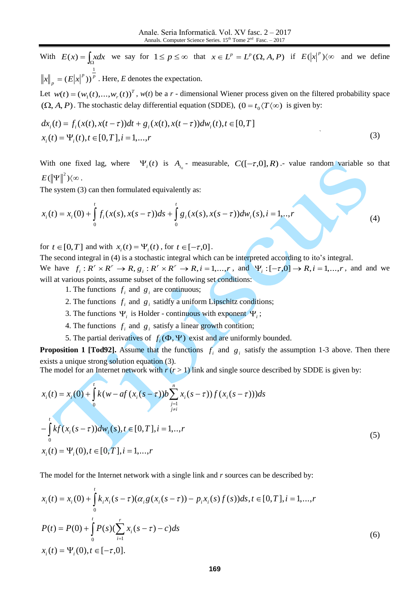With  $E(x) = \int_{\Omega} x dx$  we say for  $1 \le p \le \infty$  that  $x \in L^p = L^p(\Omega, A, P)$  if  $E(|x|^p) \langle \infty$  and we define 1

*p p p*  $x\|_p = (E|x)$  $=(E|x|^p)^p$ . Here, *E* denotes the expectation.

Let  $w(t) = (w_1(t),...,w_r(t))^T$ ,  $w(t)$  be a *r* - dimensional Wiener process given on the filtered probability space  $(\Omega, A, P)$ . The stochastic delay differential equation (SDDE),  $(0 = t_0 \langle T \langle \infty \rangle)$  is given by:

$$
dx_i(t) = f_i(x(t), x(t-\tau))dt + g_i(x(t), x(t-\tau))dw_i(t), t \in [0, T]
$$
  
\n
$$
x_i(t) = \Psi_i(t), t \in [0, T], i = 1,...,r
$$
\n(3)

With one fixed lag, where  $\Psi_i(t)$  is  $A_{t_0}$ - measurable,  $C([-T,0],R)$ . value random variable so that  $E(\left\| \Psi \right\|^{2})$ (∞.

The system (3) can then formulated equivalently as:

$$
x_i(t) = x_i(0) + \int_0^t f_i(x(s), x(s-\tau))ds + \int_0^t g_i(x(s), x(s-\tau))dw_i(s), i = 1, ..., r
$$
\n(4)

for  $t \in [0, T]$  and with  $x_i(t) = \Psi_i(t)$ , for  $t \in [-\tau, 0]$ .

The second integral in (4) is a stochastic integral which can be interpreted according to ito's integral. We have  $f_i: R^r \times R^r \to R$ ,  $g_i: R^r \times R^r \to R$ ,  $i = 1,...,r$ , and  $\Psi_i: [-\tau,0] \to R$ ,  $i = 1,...,r$ , and and we will at various points, assume subset of the following set conditions:

- 1. The functions  $f_i$  and  $g_i$  are continuous;
- 2. The functions  $f_i$  and  $g_i$  satidfy a uniform Lipschitz conditions;
- 3. The functions  $\Psi_i$  is Holder continuous with exponent  $\Psi_i$ ;
- 4. The functions  $f_i$  and  $g_i$  satisfy a linear growth contition;
- 5. The partial derivatives of  $f_i(\Phi, \Psi)$  exist and are uniformly bounded.

**Proposition 1 [Tod92].** Assume that the functions  $f_i$  and  $g_i$  satisfy the assumption 1-3 above. Then there exists a unique strong solution equation (3).

The model for an Internet network with  $r (r > 1)$  link and single source described by SDDE is given by:

$$
x_i(t) = x_i(0) + \int_0^t k(w - af(x_i(s - \tau))b \sum_{\substack{j=1 \ j \neq i}}^n x_i(s - \tau)) f(x_i(s - \tau)) ds
$$
  

$$
- \int_0^t k f(x_i(s - \tau)) dw_i(s), t \in [0, T], i = 1, ..., r
$$
  

$$
x_i(t) = \Psi_i(0), t \in [0, T], i = 1, ..., r
$$
 (5)

The model for the Internet network with a single link and *r* sources can be described by:

The model for the Internet network with a single link and *r* sources can be described by:  
\n
$$
x_i(t) = x_i(0) + \int_0^t k_i x_i (s - \tau) (\alpha_i g(x_i(s - \tau)) - p_i x_i(s) f(s)) ds, t \in [0, T], i = 1, ..., r
$$
\n
$$
P(t) = P(0) + \int_0^t P(s) (\sum_{i=1}^r x_i (s - \tau) - c) ds
$$
\n
$$
x_i(t) = \Psi_i(0), t \in [-\tau, 0].
$$
\n(6)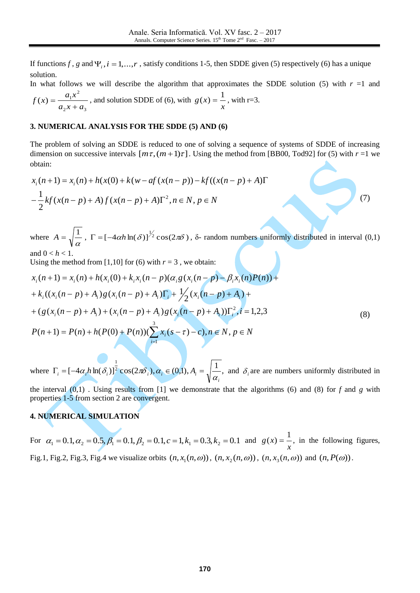If functions *f*, *g* and  $\Psi$ <sub>*i*</sub>, *i* = 1,..., *r*, satisfy conditions 1-5, then SDDE given (5) respectively (6) has a unique solution.

In what follows we will describe the algorithm that approximates the SDDE solution (5) with  $r = 1$  and  $2^{x}$   $\mu_3$ 2  $(x) = \frac{u_1}{u_2}$  $a_2 x + a$  $f(x) = \frac{a_1 x}{x}$  $\ddot{}$  $=\frac{a_1x}{a_1a_2}$ , and solution SDDE of (6), with *x*  $g(x) = \frac{1}{x}$ , with r=3.

### **3. NUMERICAL ANALYSIS FOR THE SDDE (5) AND (6)**

The problem of solving an SDDE is reduced to one of solving a sequence of systems of SDDE of increasing dimension on successive intervals  $[m\tau, (m+1)\tau]$ . Using the method from [BB00, Tod92] for (5) with  $r = 1$  we obtain:<br>  $x_i(n+1) = x_i(n) + h(x(0) + k(w - af(x(n - p)) - kf((x(n - p) + A)\Gamma$ obtain:

$$
x_i(n+1) = x_i(n) + h(x(0) + k(w - af(x(n-p)) - kf((x(n-p) + A)\Gamma
$$
  

$$
-\frac{1}{2}kf(x(n-p) + A)f(x(n-p) + A)\Gamma^2, n \in N, p \in N
$$

where  $A = \sqrt{\frac{1}{\alpha}}$  $A = \sqrt{\frac{1}{n}}$ ,  $\Gamma = [-4\alpha h \ln(\delta)]^{\frac{1}{2}} \cos(2\pi\delta)$ ,  $\delta$ - random numbers uniformly distributed in interval (0,1) and  $0 < h < 1$ .

(7)

Using the method from [1,10] for (6) with  $r = 3$ , we obtain:

$$
x_i(n+1) = x_i(n) + h(x_i(0) + k_i x_i(n-p)(\alpha_i g(x_i(n-p) - \beta_i x_i(n)P(n)) +
$$
  
+ 
$$
k_i((x_i(n-p) + A_i)g(x_i(n-p) + A_i)\Gamma_i + \frac{1}{2}(x_i(n-p) + A_i) +
$$
  
+ 
$$
(g(x_i(n-p) + A_i) + (x_i(n-p) + A_i)g(x_i(n-p) + A_i))\Gamma_i^2, i = 1,2,3
$$
  

$$
P(n+1) = P(n) + h(P(0) + P(n))(\sum_{i=1}^{3} x_i(s - \tau) - c), n \in N, p \in N
$$
 (8)

where  $\Gamma_i = \left[-4\alpha_i h \ln(\delta_i)\right]^{\frac{1}{2}} \cos(2\pi\delta_i), \alpha_i \in (0,1), A_i = \left[-\frac{1}{2}, \frac{1}{2}\right]$ 1 *i*  $\Gamma_i = [-4\alpha_i h \ln(\delta_i)]^2 \cos(2\pi\delta_i), \alpha_i \in (0,1), A_i = \sqrt{\frac{1}{\alpha}}$ , and  $\delta_i$  are are numbers uniformly distributed in the interval (0,1) . Using results from [1] we demonstrate that the algorithms (6) and (8) for *f* and *g* with properties 1-5 from section 2 are convergent.

## **4. NUMERICAL SIMULATION**

For  $\alpha_1 = 0.1, \alpha_2 = 0.5, \beta_1 = 0.1, \beta_2 = 0.1, c = 1, k_1 = 0.3, k_2 = 0.1$  and *x*  $g(x) = \frac{1}{x}$ , in the following figures, Fig.1, Fig.2, Fig.3, Fig.4 we visualize orbits  $(n, x_1(n, \omega))$ ,  $(n, x_2(n, \omega))$ ,  $(n, x_3(n, \omega))$  and  $(n, P(\omega))$ .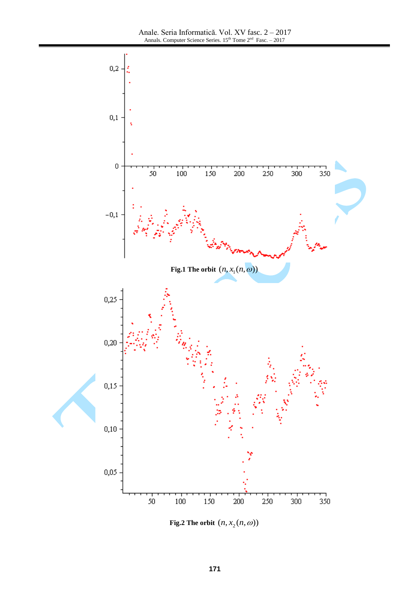

Fig.2 The orbit  $(n, x_2(n, \omega))$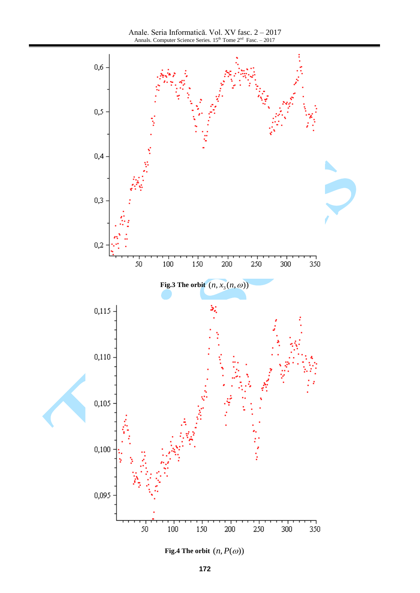Anale. Seria Informatică. Vol. XV fasc. 2 – 2017 Annals. Computer Science Series.  $15<sup>th</sup>$  Tome  $2<sup>nd</sup>$  Fasc. – 2017



**Fig.4 The orbit**  $(n, P(\omega))$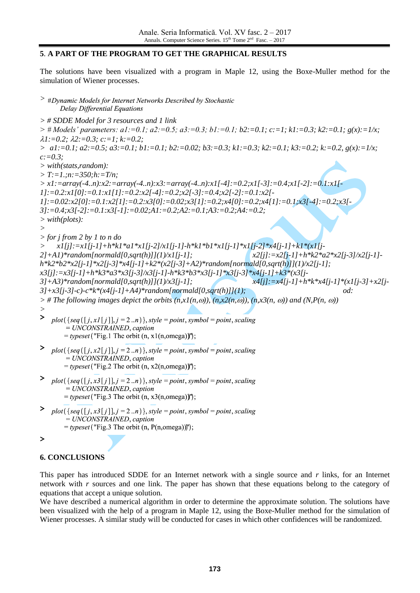## **5**. **A PART OF THE PROGRAM TO GET THE GRAPHICAL RESULTS**

The solutions have been visualized with a program in Maple 12, using the Boxe-Muller method for the simulation of Wiener processes.

> #Dynamic Models for Internet Networks Described by Stochastic Delay Differential Equations

*> # SDDE Model for 3 resources and 1 link*  $>$  # Models' parameters: a1:=0.1; a2:=0.5; a3:=0.3; b1:=0.1; b2:=0.1; c:=1; k1:=0.3; k2:=0.1; g(x):=1/x; *1:=0.2; 2:=0.3; c:=1; k:=0.2; > a1:=0.1; a2:=0.5; a3:=0.1; b1:=0.1; b2:=0.02; b3:=0.3; k1:=0.3; k2:=0.1; k3:=0.2; k:=0.2, g(x):=1/x; c:=0.3; > with(stats,random): > T:=1.;n:=350;h:=T/n; > x1:=array(-4..n):x2:=array(-4..n):x3:=array(-4..n):x1[-4]:=0.2;x1[-3]:=0.4;x1[-2]:=0.1:x1[- 1]:=0.2:x1[0]:=0.1:x1[1]:=0.2:x2[-4]:=0.2;x2[-3]:=0.4;x2[-2]:=0.1:x2[- 1]:=0.02:x2[0]:=0.1:x2[1]:=0.2:x3[0]:=0.02;x3[1]:=0.2;x4[0]:=0.2;x4[1]:=0.1;x3[-4]:=0.2;x3[- 3]:=0.4;x3[-2]:=0.1:x3[-1]:=0.02;A1:=0.2;A2:=0.1;A3:=0.2;A4:=0.2; > with(plots): > > for j from 2 by 1 to n do > x1[j]:=x1[j-1]+h\*k1\*a1\*x1[j-2]/x1[j-1]-h\*k1\*b1\*x1[j-1]\*x1[j-2]\*x4[j-1]+k1\*(x1[j-2]+A1)\*random[normald[0,sqrt(h)]](1)/x1[j-1]; x2[j]:=x2[j-1]+h\*k2\*a2\*x2[j-3]/x2[j-1] h\*k2\*b2\*x2[j-1]\*x2[j-3]\*x4[j-1]+k2\*(x2[j-3]+A2)\*random[normald[0,sqrt(h)]](1)/x2[j-1]; x3[j]:=x3[j-1]+h\*k3\*a3\*x3[j-3]/x3[j-1]-h\*k3\*b3\*x3[j-1]\*x3[j-3]\*x4[j-1]+k3\*(x3[j-3]+A3)\*random[normald[0,sqrt(h)]](1)/x3[j-1]; x4[j]:=x4[j-1]+h\*k\*x4[j-1]\*(x1[j-3]+x2[j-3]+x3[j-3]-c)-c\*k\*(x4[j-1]+A4)\*random[normald[0,sqrt(h)]](1); od:*  $>$  # The following images depict the orbits  $(n, x1(n, \omega))$ ,  $(n, x2(n, \omega))$ ,  $(n, x3(n, \omega))$  and  $(N, P(n, \omega))$ *>* **>**   $plot({seq([j, x1[j]], j=2..n)}, style = point, symbol = point, scaling$ = UNCONSTRAINED, caption  $= *typeset* ("Fig.1 The orbit (n, x1(n,omega))");$ >  $plot({seq([j, x2[j]], j=2..n)}, style = point, symbol = point, scaling)$  $= UNCONSTRAINED, caption$  $= *typeset* ("Fig.2 The orbit (n, x2(n,omega))");$ >  $plot({seq([j, x3[j]], j=2..n)}, style = point, symbol = point, scaling)$ = UNCONSTRAINED, caption  $= *typeset* ("Fig.3 The orbit (n, x3(n,omega))");$ >  $plot({seq([j, x3[j]], j=2..n)}, style = point, symbol = point, scaling)$  $= UNCONSTRAINED$ , caption  $= *typeset* ("Fig.3 The orbit (n, P(n,omega))");$ 

$$
\left. \right\rangle
$$

## **6. CONCLUSIONS**

This paper has introduced SDDE for an Internet network with a single source and *r* links, for an Internet network with *r* sources and one link. The paper has shown that these equations belong to the category of equations that accept a unique solution.

We have described a numerical algorithm in order to determine the approximate solution. The solutions have been visualized with the help of a program in Maple 12, using the Boxe-Muller method for the simulation of Wiener processes. A similar study will be conducted for cases in which other confidences will be randomized.